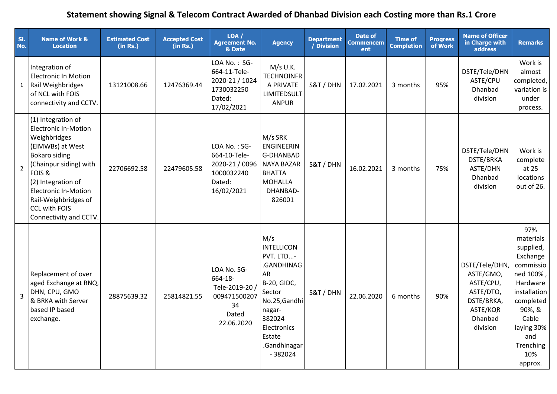## **Statement showing Signal & Telecom Contract Awarded of Dhanbad Division each Costing more than Rs.1 Crore**

| SI.<br>No.     | <b>Name of Work &amp;</b><br><b>Location</b>                                                                                                                                                                                                                                     | <b>Estimated Cost</b><br>(in Rs.) | <b>Accepted Cost</b><br>(in Rs.) | LOA/<br><b>Agreement No.</b><br>& Date                                                | <b>Agency</b>                                                                                                                                                                        | <b>Department</b><br>/ Division | Date of<br><b>Commencem</b><br>ent | <b>Time of</b><br><b>Completion</b> | <b>Progress</b><br>of Work | <b>Name of Officer</b><br>in Charge with<br><b>address</b>                                            | <b>Remarks</b>                                                                                                                                                                      |
|----------------|----------------------------------------------------------------------------------------------------------------------------------------------------------------------------------------------------------------------------------------------------------------------------------|-----------------------------------|----------------------------------|---------------------------------------------------------------------------------------|--------------------------------------------------------------------------------------------------------------------------------------------------------------------------------------|---------------------------------|------------------------------------|-------------------------------------|----------------------------|-------------------------------------------------------------------------------------------------------|-------------------------------------------------------------------------------------------------------------------------------------------------------------------------------------|
| $\mathbf{1}$   | Integration of<br><b>Electronic In Motion</b><br>Rail Weighbridges<br>of NCL with FOIS<br>connectivity and CCTV.                                                                                                                                                                 | 13121008.66                       | 12476369.44                      | LOA No.: SG-<br>664-11-Tele-<br>2020-21 / 1024<br>1730032250<br>Dated:<br>17/02/2021  | $M/s$ U.K.<br><b>TECHNOINFR</b><br>A PRIVATE<br><b>LIMITEDSULT</b><br><b>ANPUR</b>                                                                                                   | S&T / DHN                       | 17.02.2021                         | 3 months                            | 95%                        | DSTE/Tele/DHN<br>ASTE/CPU<br>Dhanbad<br>division                                                      | Work is<br>almost<br>completed,<br>variation is<br>under<br>process.                                                                                                                |
| $\overline{2}$ | (1) Integration of<br><b>Electronic In-Motion</b><br>Weighbridges<br>(EIMWBs) at West<br><b>Bokaro siding</b><br>(Chainpur siding) with<br>FOIS &<br>(2) Integration of<br><b>Electronic In-Motion</b><br>Rail-Weighbridges of<br><b>CCL with FOIS</b><br>Connectivity and CCTV. | 22706692.58                       | 22479605.58                      | LOA No.: SG-<br>664-10-Tele-<br>2020-21 / 0096<br>1000032240<br>Dated:<br>16/02/2021  | M/s SRK<br><b>ENGINEERIN</b><br>G-DHANBAD<br><b>NAYA BAZAR</b><br><b>BHATTA</b><br><b>MOHALLA</b><br>DHANBAD-<br>826001                                                              | S&T / DHN                       | 16.02.2021                         | 3 months                            | 75%                        | DSTE/Tele/DHN<br>DSTE/BRKA<br>ASTE/DHN<br>Dhanbad<br>division                                         | Work is<br>complete<br>at 25<br>locations<br>out of 26.                                                                                                                             |
| $\overline{3}$ | Replacement of over<br>aged Exchange at RNQ,<br>DHN, CPU, GMO<br>& BRKA with Server<br>based IP based<br>exchange.                                                                                                                                                               | 28875639.32                       | 25814821.55                      | LOA No. SG-<br>664-18-<br>Tele-2019-20 /<br>009471500207<br>34<br>Dated<br>22.06.2020 | M/s<br><b>INTELLICON</b><br>PVT. LTD-<br>.GANDHINAG<br>AR<br><b>B-20, GIDC,</b><br>Sector<br>No.25, Gandhi<br>nagar-<br>382024<br>Electronics<br>Estate<br>.Gandhinagar<br>$-382024$ | S&T / DHN                       | 22.06.2020                         | 6 months                            | 90%                        | DSTE/Tele/DHN<br>ASTE/GMO,<br>ASTE/CPU,<br>ASTE/DTO,<br>DSTE/BRKA,<br>ASTE/KQR<br>Dhanbad<br>division | 97%<br>materials<br>supplied,<br>Exchange<br>commissio<br>ned 100%,<br>Hardware<br>installation<br>completed<br>90%, &<br>Cable<br>laying 30%<br>and<br>Trenching<br>10%<br>approx. |